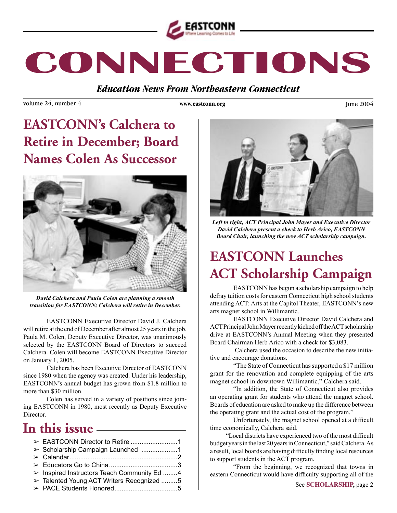

# CONNECTIONS

**Education News From Northeastern Connecticut** 

volume 24, number 4

www.eastconn.org

**June 2004** 

# **EASTCONN's Calchera to Retire in December; Board Names Colen As Successor**



David Calchera and Paula Colen are planning a smooth transition for EASTCONN; Calchera will retire in December.

EASTCONN Executive Director David J. Calchera will retire at the end of December after almost 25 years in the job. Paula M. Colen, Deputy Executive Director, was unanimously selected by the EASTCONN Board of Directors to succeed Calchera. Colen will become EASTCONN Executive Director on January 1, 2005.

Calchera has been Executive Director of EASTCONN since 1980 when the agency was created. Under his leadership, EASTCONN's annual budget has grown from \$1.8 million to more than \$30 million.

Colen has served in a variety of positions since joining EASTCONN in 1980, most recently as Deputy Executive Director.

### In this issue —————

| > Scholarship Campaign Launched 1                          |  |
|------------------------------------------------------------|--|
|                                                            |  |
|                                                            |  |
| $\triangleright$ Inspired Instructors Teach Community Ed 4 |  |
| > Talented Young ACT Writers Recognized 5                  |  |
|                                                            |  |



Left to right, ACT Principal John Mayer and Executive Director David Calchera present a check to Herb Arico, EASTCONN Board Chair, launching the new ACT scholarship campaign.

# **EASTCONN Launches ACT Scholarship Campaign**

EASTCONN has begun a scholarship campaign to help defray tuition costs for eastern Connecticut high school students attending ACT: Arts at the Capitol Theater, EASTCONN's new arts magnet school in Willimantic.

**EASTCONN** Executive Director David Calchera and ACT Principal John Mayer recently kicked off the ACT scholarship drive at EASTCONN's Annual Meeting when they presented Board Chairman Herb Arico with a check for \$3,083.

Calchera used the occasion to describe the new initiative and encourage donations.

"The State of Connecticut has supported a \$17 million" grant for the renovation and complete equipping of the arts magnet school in downtown Willimantic," Calchera said.

"In addition, the State of Connecticut also provides an operating grant for students who attend the magnet school. Boards of education are asked to make up the difference between the operating grant and the actual cost of the program."

Unfortunately, the magnet school opened at a difficult time economically, Calchera said.

"Local districts have experienced two of the most difficult budget years in the last 20 years in Connecticut," said Calchera. As a result, local boards are having difficulty finding local resources to support students in the ACT program.

"From the beginning, we recognized that towns in eastern Connecticut would have difficulty supporting all of the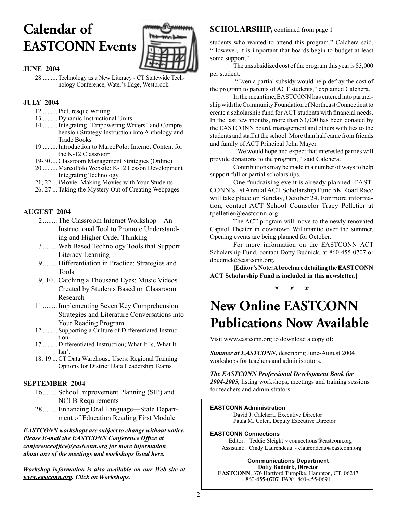# **Calendar of EASTCONN Events**



#### **JUNE 2004**

28 ......... Technology as a New Literacy - CT Statewide Technology Conference, Water's Edge, Westbrook

#### **JULY 2004**

- 12 ......... Picturesque Writing
- 13 ......... Dynamic Instructional Units
- 14 .........Integrating "Empowering Writers" and Comprehension Strategy Instruction into Anthology and Trade Books
- 19 .........Introduction to MarcoPolo: Internet Content for the K-12 Classroom
- 19-30....Classroom Management Strategies (Online)
- 20 ......... MarcoPolo Website: K-12 Lesson Development Integrating Technology
- 21, 22 ... iMovie: Making Movies with Your Students
- 26, 27 ...Taking the Mystery Out of Creating Webpages

#### **AUGUST 2004**

- 2........ The Classroom Internet Workshop—An Instructional Tool to Promote Understanding and Higher Order Thinking
- 3........ Web Based Technology Tools that Support Literacy Learning
- 9........ Differentiation in Practice: Strategies and Tools
- 9, 10..Catching a Thousand Eyes: Music Videos Created by Students Based on Classroom Research
- 11 ........Implementing Seven Key Comprehension Strategies and Literature Conversations into Your Reading Program
- 12 ......... Supporting a Culture of Differentiated Instruction
- 17 ......... Differentiated Instruction; What It Is, What It Isn't
- 18, 19 ...CT Data Warehouse Users: Regional Training Options for District Data Leadership Teams

#### **SEPTEMBER 2004**

- 16........ School Improvement Planning (SIP) and NCLB Requirements
- 28........ Enhancing Oral Language—State Department of Education Reading First Module

*EASTCONN workshops are subject to change without notice. Please E-mail the EASTCONN Conference Offce at conferenceoffce@eastconn.org for more information about any of the meetings and workshops listed here.* 

*Workshop information is also available on our Web site at www.eastconn.org. Click on Workshops.*

#### **SCHOLARSHIP,** continued from page 1

students who wanted to attend this program," Calchera said. "However, it is important that boards begin to budget at least some support."

The unsubsidized cost of the program this year is \$3,000 per student.

 "Even a partial subsidy would help defray the cost of the program to parents of ACT students," explained Calchera.

In the meantime, EASTCONN has entered into partnership with the Community Foundation of Northeast Connecticut to create a scholarship fund for ACT students with fnancial needs. In the last few months, more than \$3,000 has been donated by the EASTCONN board, management and others with ties to the students and staff at the school. More than half came from friends and family of ACT Principal John Mayer.

 "We would hope and expect that interested parties will provide donations to the program, " said Calchera.

Contributions may be made in a number of ways to help support full or partial scholarships.

One fundraising event is already planned. EAST-CONN's 1st Annual ACT Scholarship Fund 5K Road Race will take place on Sunday, October 24. For more information, contact ACT School Counselor Tracy Pelletier at tpelletier@eastconn.org.

The ACT program will move to the newly renovated Capitol Theater in downtown Willimantic over the summer. Opening events are being planned for October.

For more information on the EASTCONN ACT Scholarship Fund, contact Dotty Budnick, at 860-455-0707 or dbudnick@eastconn.org.

**[Editor's Note: A brochure detailing the EASTCONN ACT Scholarship Fund is included in this newsletter.]**

> b  $\bullet$ b.

# **New Online EASTCONN Publications Now Available**

Visit www.eastconn.org to download a copy of:

*Summer at EASTCONN,* describing June-August 2004 workshops for teachers and administrators.

*The EASTCONN Professional Development Book for 2004-2005,* listing workshops, meetings and training sessions for teachers and administrators.

#### **EASTCONN Administration**

David J. Calchera, Executive Director Paula M. Colen, Deputy Executive Director

#### **EASTCONN Connections**

 Editor: Teddie Sleight ~ connections@eastconn.org Assistant: Cindy Laurendeau  $\sim$  claurendeau@eastconn.org

**Communications Department Dotty Budnick, Director EASTCONN**, 376 Hartford Turnpike, Hampton, CT 06247 860-455-0707 FAX: 860-455-0691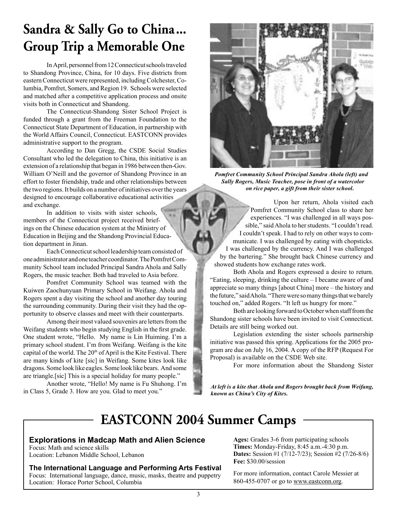## **Sandra & Sally Go to China... Group Trip a Memorable One**

In April, personnel from 12 Connecticut schools traveled to Shandong Province, China, for 10 days. Five districts from eastern Connecticut were represented, including Colchester, Columbia, Pomfret, Somers, and Region 19. Schools were selected and matched after a competitive application process and onsite visits both in Connecticut and Shandong.

The Connecticut-Shandong Sister School Project is funded through a grant from the Freeman Foundation to the Connecticut State Department of Education, in partnership with the World Affairs Council, Connecticut. EASTCONN provides administrative support to the program.

According to Dan Gregg, the CSDE Social Studies Consultant who led the delegation to China, this initiative is an extension of a relationship that began in 1986 between then-Gov. William O'Neill and the governor of Shandong Province in an effort to foster friendship, trade and other relationships between the two regions. It builds on a number of initiatives over the years designed to encourage collaborative educational activities and exchange.

In addition to visits with sister schools, members of the Connecticut project received briefings on the Chinese education system at the Ministry of Education in Beijing and the Shandong Provincial Education department in Jinan.

Each Connecticut school leadership team consisted of one administrator and one teacher coordinator. The Pomfret Community School team included Principal Sandra Ahola and Sally Rogers, the music teacher. Both had traveled to Asia before.

Pomfret Community School was teamed with the Kuiwen Zaochunyuan Primary School in Weifang. Ahola and Rogers spent a day visiting the school and another day touring the surrounding community. During their visit they had the opportunity to observe classes and meet with their counterparts.

Among their most valued souvenirs are letters from the Weifang students who begin studying English in the frst grade. One student wrote, "Hello. My name is Lin Huiming. I'm a primary school student. I'm from Weifang. Weifang is the kite capital of the world. The 20<sup>th</sup> of April is the Kite Festival. There are many kinds of kite [sic] in Weifang. Some kites look like dragons. Some look like eagles. Some look like bears. And some are triangle.[sic] This is a special holiday for many people."

Another wrote, "Hello! My name is Fu Shuhong. I'm in Class 5, Grade 3. How are you. Glad to meet you."



*Pomfret Community School Principal Sandra Ahola (left) and Sally Rogers, Music Teacher, pose in front of a watercolor on rice paper, a gift from their sister school.*

Upon her return, Ahola visited each Pomfret Community School class to share her experiences. "I was challenged in all ways possible," said Ahola to her students. "I couldn't read. I couldn't speak. I had to rely on other ways to communicate. I was challenged by eating with chopsticks. I was challenged by the currency. And I was challenged by the bartering." She brought back Chinese currency and showed students how exchange rates work.

Both Ahola and Rogers expressed a desire to return. "Eating, sleeping, drinking the culture – I became aware of and appreciate so many things [about China] more – the history and the future," said Ahola. "There were so many things that we barely touched on," added Rogers. "It left us hungry for more."

Both are looking forward to October when staff from the Shandong sister schools have been invited to visit Connecticut. Details are still being worked out.

Legislation extending the sister schools partnership initiative was passed this spring. Applications for the 2005 program are due on July 16, 2004. A copy of the RFP (Request For Proposal) is available on the CSDE Web site.

For more information about the Shandong Sister

*At left is a kite that Ahola and Rogers brought back from Weifang, known as China's City of Kites.*

### **EASTCONN 2004 Summer Camps**

#### **Explorations in Madcap Math and Alien Science**

Focus: Math and science skills Location: Lebanon Middle School, Lebanon

#### **The International Language and Performing Arts Festival**

Focus: International language, dance, music, masks, theatre and puppetry Location: Horace Porter School, Columbia

**Ages:** Grades 3-6 from participating schools **Times:** Monday-Friday, 8:45 a.m.-4:30 p.m. **Dates:** Session #1 (7/12-7/23); Session #2 (7/26-8/6) **Fee:** \$30.00/session

For more information, contact Carole Messier at 860-455-0707 or go to www.eastconn.org.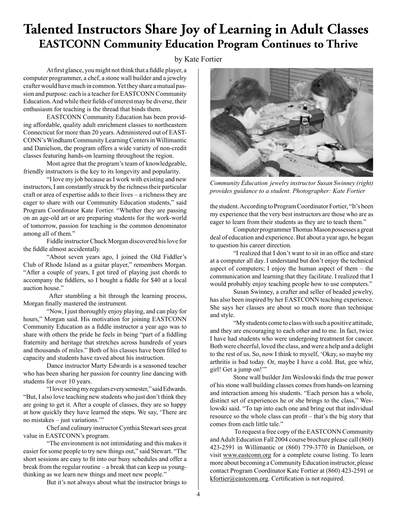### **Talented Instructors Share Joy of Learning in Adult Classes EASTCONN Community Education Program Continues to Thrive**

by Kate Fortier

At first glance, you might not think that a fiddle player, a computer programmer, a chef, a stone wall builder and a jewelry crafter would have much in common. Yet they share a mutual passion and purpose: each is a teacher for EASTCONN Community Education. And while their felds of interest may be diverse, their enthusiasm for teaching is the thread that binds them.

EASTCONN Community Education has been providing affordable, quality adult enrichment classes to northeastern Connecticut for more than 20 years. Administered out of EAST-CONN's Windham Community Learning Centers in Willimantic and Danielson, the program offers a wide variety of non-credit classes featuring hands-on learning throughout the region.

Most agree that the program's team of knowledgeable, friendly instructors is the key to its longevity and popularity.

"I love my job because as I work with existing and new instructors, I am constantly struck by the richness their particular craft or area of expertise adds to their lives – a richness they are eager to share with our Community Education students," said Program Coordinator Kate Fortier. "Whether they are passing on an age-old art or are preparing students for the work-world of tomorrow, passion for teaching is the common denominator among all of them."

Fiddle instructor Chuck Morgan discovered his love for the fddle almost accidentally.

"About seven years ago, I joined the Old Fiddler's Club of Rhode Island as a guitar player," remembers Morgan. "After a couple of years, I got tired of playing just chords to accompany the fddlers, so I bought a fddle for \$40 at a local auction house."

 After stumbling a bit through the learning process, Morgan fnally mastered the instrument.

"Now, I just thoroughly enjoy playing, and can play for hours," Morgan said. His motivation for joining EASTCONN Community Education as a fddle instructor a year ago was to share with others the pride he feels in being "part of a fddling fraternity and heritage that stretches across hundreds of years and thousands of miles." Both of his classes have been flled to capacity and students have raved about his instruction.

Dance instructor Marty Edwards is a seasoned teacher who has been sharing her passion for country line dancing with students for over 10 years.

"I love seeing my regulars every semester," said Edwards. "But, I also love teaching new students who just don't think they are going to get it. After a couple of classes, they are so happy at how quickly they have learned the steps. We say, 'There are no mistakes – just variations.'"

Chef and culinary instructor Cynthia Stewart sees great value in EASTCONN's program.

"The environment is not intimidating and this makes it easier for some people to try new things out," said Stewart. "The short sessions are easy to ft into our busy schedules and offer a break from the regular routine – a break that can keep us youngthinking as we learn new things and meet new people."

But it's not always about what the instructor brings to



*Community Education jewelry instructor Susan Swinney (right) provides guidance to a student. Photographer: Kate Fortier*

the student. According to Program Coordinator Fortier, "It's been my experience that the very best instructors are those who are as eager to learn from their students as they are to teach them."

Computer programmer Thomas Mason possesses a great deal of education and experience. But about a year ago, he began to question his career direction.

"I realized that I don't want to sit in an office and stare at a computer all day. I understand but don't enjoy the technical aspect of computers; I enjoy the human aspect of them – the communication and learning that they facilitate. I realized that I would probably enjoy teaching people how to use computers."

Susan Swinney, a crafter and seller of beaded jewelry, has also been inspired by her EASTCONN teaching experience. She says her classes are about so much more than technique and style.

"My students come to class with such a positive attitude, and they are encouraging to each other and to me. In fact, twice I have had students who were undergoing treatment for cancer. Both were cheerful, loved the class, and were a help and a delight to the rest of us. So, now I think to myself, 'Okay, so maybe my arthritis is bad today. Or, maybe I have a cold. But, gee whiz, girl! Get a jump on!'"

Stone wall builder Jim Weslowski fnds the true power of his stone wall building classes comes from hands-on learning and interaction among his students. "Each person has a whole, distinct set of experiences he or she brings to the class," Weslowski said. "To tap into each one and bring out that individual resource so the whole class can proft – that's the big story that comes from each little tale."

 To request a free copy of the EASTCONN Community and Adult Education Fall 2004 course brochure please call (860) 423-2591 in Willimantic or (860) 779-3770 in Danielson, or visit www.eastconn.org for a complete course listing. To learn more about becoming a Community Education instructor, please contact Program Coordinator Kate Fortier at (860) 423-2591 or kfortier@eastconn.org. Certification is not required.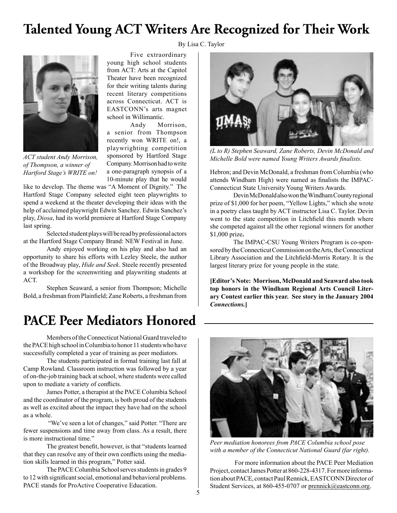### **Talented Young ACT Writers Are Recognized for Their Work**

By Lisa C. Taylor



*ACT student Andy Morrison, of Thompson, a winner of Hartford Stage's WRITE on!*

Five extraordinary young high school students from ACT: Arts at the Capitol Theater have been recognized for their writing talents during recent literary competitions across Connecticut. ACT is EASTCONN's arts magnet school in Willimantic.

Andy Morrison, a senior from Thompson recently won WRITE on!, a playwrighting competition sponsored by Hartford Stage Company. Morrison had to write a one-paragraph synopsis of a 10-minute play that he would

like to develop. The theme was "A Moment of Dignity." The Hartford Stage Company selected eight teen playwrights to spend a weekend at the theater developing their ideas with the help of acclaimed playwright Edwin Sanchez. Edwin Sanchez's play, *Diosa*, had its world premiere at Hartford Stage Company last spring.

Selected student plays will be read by professional actors at the Hartford Stage Company Brand: NEW Festival in June.

Andy enjoyed working on his play and also had an opportunity to share his efforts with Lezley Steele, the author of the Broadway play, *Hide and Seek*. Steele recently presented a workshop for the screenwriting and playwriting students at ACT.

Stephen Seaward, a senior from Thompson; Michelle Bold, a freshman from Plainfeld; Zane Roberts, a freshman from

### **PACE Peer Mediators Honored**

Members of the Connecticut National Guard traveled to the PACE high school in Columbia to honor 11 students who have successfully completed a year of training as peer mediators.

The students participated in formal training last fall at Camp Rowland. Classroom instruction was followed by a year of on-the-job training back at school, where students were called upon to mediate a variety of conficts.

James Potter, a therapist at the PACE Columbia School and the coordinator of the program, is both proud of the students as well as excited about the impact they have had on the school as a whole.

"We've seen a lot of changes," said Potter. "There are fewer suspensions and time away from class. As a result, there is more instructional time."

The greatest beneft, however, is that "students learned that they can resolve any of their own conficts using the mediation skills learned in this program," Potter said.

The PACE Columbia School serves students in grades 9 to 12 with signifcant social, emotional and behavioral problems. PACE stands for ProActive Cooperative Education.



*(L to R) Stephen Seaward, Zane Roberts, Devin McDonald and Michelle Bold were named Young Writers Awards fnalists.*

Hebron; and Devin McDonald, a freshman from Columbia (who attends Windham High) were named as fnalists the IMPAC-Connecticut State University Young Writers Awards.

Devin McDonald also won the Windham County regional prize of \$1,000 for her poem, "Yellow Lights," which she wrote in a poetry class taught by ACT instructor Lisa C. Taylor. Devin went to the state competition in Litchfeld this month where she competed against all the other regional winners for another \$1,000 prize**.** 

The IMPAC-CSU Young Writers Program is co-sponsored by the Connecticut Commission on the Arts, the Connecticut Library Association and the Litchfeld-Morris Rotary. It is the largest literary prize for young people in the state.

**[Editor's Note: Morrison, McDonald and Seaward also took top honors in the Windham Regional Arts Council Literary Contest earlier this year. See story in the January 2004**  *Connections.***]**



*Peer mediation honorees from PACE Columbia school pose with a member of the Connecticut National Guard (far right).*

 For more information about the PACE Peer Mediation Project, contact James Potter at 860-228-4317. For more information about PACE, contact Paul Rennick, EASTCONN Director of Student Services, at 860-455-0707 or prennick@eastconn.org.